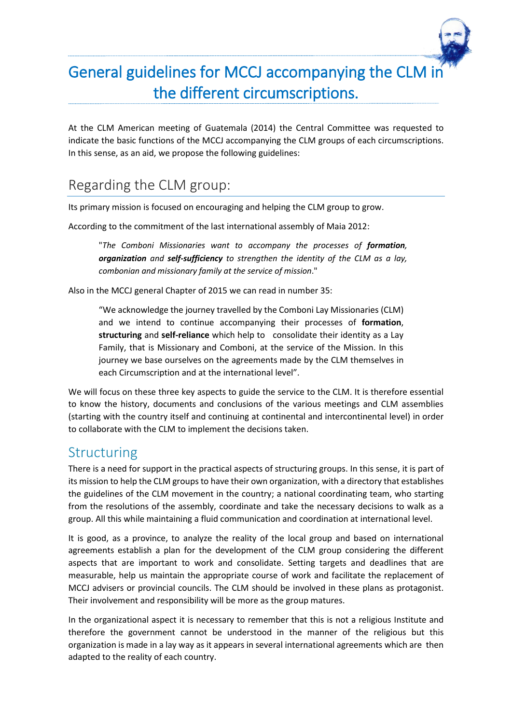

At the CLM American meeting of Guatemala (2014) the Central Committee was requested to indicate the basic functions of the MCCJ accompanying the CLM groups of each circumscriptions. In this sense, as an aid, we propose the following guidelines:

## Regarding the CLM group:

Its primary mission is focused on encouraging and helping the CLM group to grow.

According to the commitment of the last international assembly of Maia 2012:

"*The Comboni Missionaries want to accompany the processes of formation, organization and self-sufficiency to strengthen the identity of the CLM as a lay, combonian and missionary family at the service of mission*."

Also in the MCCJ general Chapter of 2015 we can read in number 35:

"We acknowledge the journey travelled by the Comboni Lay Missionaries (CLM) and we intend to continue accompanying their processes of **formation**, **structuring** and **self-reliance** which help to consolidate their identity as a Lay Family, that is Missionary and Comboni, at the service of the Mission. In this journey we base ourselves on the agreements made by the CLM themselves in each Circumscription and at the international level".

We will focus on these three key aspects to guide the service to the CLM. It is therefore essential to know the history, documents and conclusions of the various meetings and CLM assemblies (starting with the country itself and continuing at continental and intercontinental level) in order to collaborate with the CLM to implement the decisions taken.

#### Structuring

There is a need for support in the practical aspects of structuring groups. In this sense, it is part of its mission to help the CLM groups to have their own organization, with a directory that establishes the guidelines of the CLM movement in the country; a national coordinating team, who starting from the resolutions of the assembly, coordinate and take the necessary decisions to walk as a group. All this while maintaining a fluid communication and coordination at international level.

It is good, as a province, to analyze the reality of the local group and based on international agreements establish a plan for the development of the CLM group considering the different aspects that are important to work and consolidate. Setting targets and deadlines that are measurable, help us maintain the appropriate course of work and facilitate the replacement of MCCJ advisers or provincial councils. The CLM should be involved in these plans as protagonist. Their involvement and responsibility will be more as the group matures.

In the organizational aspect it is necessary to remember that this is not a religious Institute and therefore the government cannot be understood in the manner of the religious but this organization is made in a lay way as it appears in several international agreements which are then adapted to the reality of each country.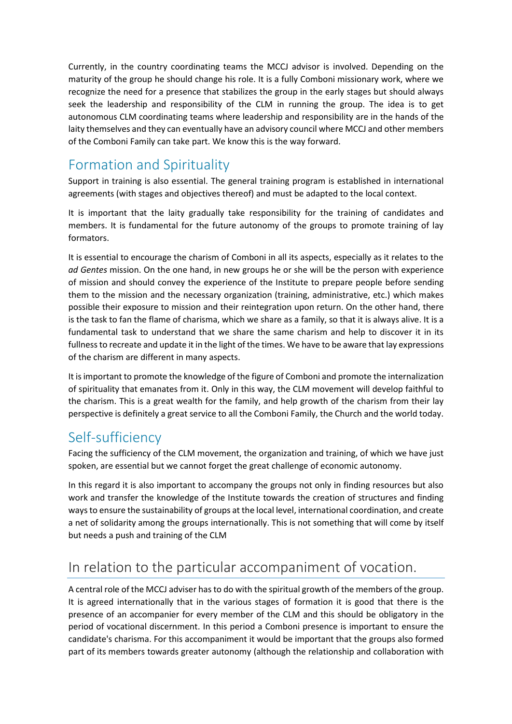Currently, in the country coordinating teams the MCCJ advisor is involved. Depending on the maturity of the group he should change his role. It is a fully Comboni missionary work, where we recognize the need for a presence that stabilizes the group in the early stages but should always seek the leadership and responsibility of the CLM in running the group. The idea is to get autonomous CLM coordinating teams where leadership and responsibility are in the hands of the laity themselves and they can eventually have an advisory council where MCCJ and other members of the Comboni Family can take part. We know this is the way forward.

### Formation and Spirituality

Support in training is also essential. The general training program is established in international agreements (with stages and objectives thereof) and must be adapted to the local context.

It is important that the laity gradually take responsibility for the training of candidates and members. It is fundamental for the future autonomy of the groups to promote training of lay formators.

It is essential to encourage the charism of Comboni in all its aspects, especially as it relates to the *ad Gentes* mission. On the one hand, in new groups he or she will be the person with experience of mission and should convey the experience of the Institute to prepare people before sending them to the mission and the necessary organization (training, administrative, etc.) which makes possible their exposure to mission and their reintegration upon return. On the other hand, there is the task to fan the flame of charisma, which we share as a family, so that it is always alive. It is a fundamental task to understand that we share the same charism and help to discover it in its fullness to recreate and update it in the light of the times. We have to be aware that lay expressions of the charism are different in many aspects.

It is important to promote the knowledge of the figure of Comboni and promote the internalization of spirituality that emanates from it. Only in this way, the CLM movement will develop faithful to the charism. This is a great wealth for the family, and help growth of the charism from their lay perspective is definitely a great service to all the Comboni Family, the Church and the world today.

#### Self-sufficiency

Facing the sufficiency of the CLM movement, the organization and training, of which we have just spoken, are essential but we cannot forget the great challenge of economic autonomy.

In this regard it is also important to accompany the groups not only in finding resources but also work and transfer the knowledge of the Institute towards the creation of structures and finding ways to ensure the sustainability of groups at the local level, international coordination, and create a net of solidarity among the groups internationally. This is not something that will come by itself but needs a push and training of the CLM

### In relation to the particular accompaniment of vocation.

A central role of the MCCJ adviser has to do with the spiritual growth of the members of the group. It is agreed internationally that in the various stages of formation it is good that there is the presence of an accompanier for every member of the CLM and this should be obligatory in the period of vocational discernment. In this period a Comboni presence is important to ensure the candidate's charisma. For this accompaniment it would be important that the groups also formed part of its members towards greater autonomy (although the relationship and collaboration with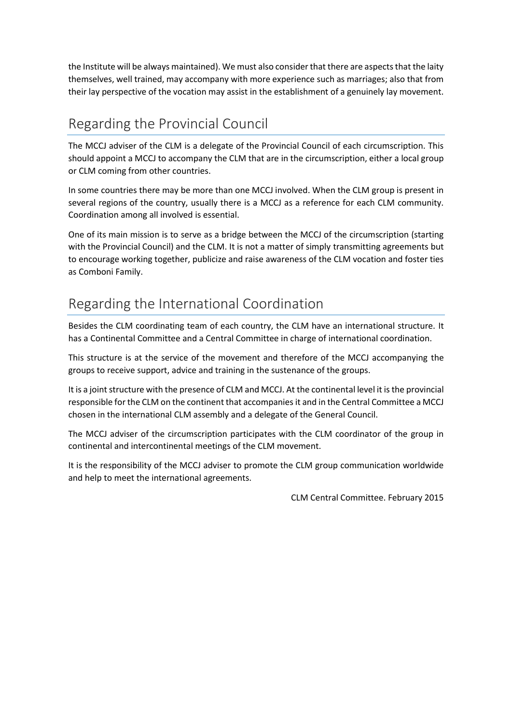the Institute will be always maintained). We must also consider that there are aspects that the laity themselves, well trained, may accompany with more experience such as marriages; also that from their lay perspective of the vocation may assist in the establishment of a genuinely lay movement.

# Regarding the Provincial Council

The MCCJ adviser of the CLM is a delegate of the Provincial Council of each circumscription. This should appoint a MCCJ to accompany the CLM that are in the circumscription, either a local group or CLM coming from other countries.

In some countries there may be more than one MCCJ involved. When the CLM group is present in several regions of the country, usually there is a MCCJ as a reference for each CLM community. Coordination among all involved is essential.

One of its main mission is to serve as a bridge between the MCCJ of the circumscription (starting with the Provincial Council) and the CLM. It is not a matter of simply transmitting agreements but to encourage working together, publicize and raise awareness of the CLM vocation and foster ties as Comboni Family.

### Regarding the International Coordination

Besides the CLM coordinating team of each country, the CLM have an international structure. It has a Continental Committee and a Central Committee in charge of international coordination.

This structure is at the service of the movement and therefore of the MCCJ accompanying the groups to receive support, advice and training in the sustenance of the groups.

It is a joint structure with the presence of CLM and MCCJ. At the continental level it is the provincial responsible for the CLM on the continent that accompanies it and in the Central Committee a MCCJ chosen in the international CLM assembly and a delegate of the General Council.

The MCCJ adviser of the circumscription participates with the CLM coordinator of the group in continental and intercontinental meetings of the CLM movement.

It is the responsibility of the MCCJ adviser to promote the CLM group communication worldwide and help to meet the international agreements.

CLM Central Committee. February 2015